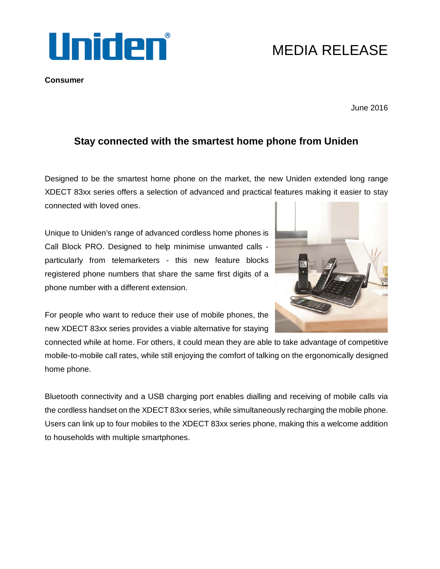

## **Consumer**

MEDIA RELEASE

June 2016

## **Stay connected with the smartest home phone from Uniden**

Designed to be the smartest home phone on the market, the new Uniden extended long range XDECT 83xx series offers a selection of advanced and practical features making it easier to stay connected with loved ones.

Unique to Uniden's range of advanced cordless home phones is Call Block PRO. Designed to help minimise unwanted calls particularly from telemarketers - this new feature blocks registered phone numbers that share the same first digits of a phone number with a different extension.



For people who want to reduce their use of mobile phones, the new XDECT 83xx series provides a viable alternative for staying

connected while at home. For others, it could mean they are able to take advantage of competitive mobile-to-mobile call rates, while still enjoying the comfort of talking on the ergonomically designed home phone.

Bluetooth connectivity and a USB charging port enables dialling and receiving of mobile calls via the cordless handset on the XDECT 83xx series, while simultaneously recharging the mobile phone. Users can link up to four mobiles to the XDECT 83xx series phone, making this a welcome addition to households with multiple smartphones.